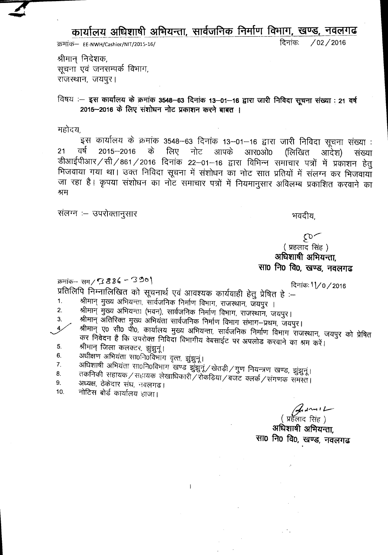**Cblllh.Ytll ~ ~, tllchJlPiCh Ptl1ful ~~ ~,** "1C1t'1~la

~- . EE-NWH/Cashier/NIT/2015-16/ ~: /02/2016

श्रीमान निर्देशक, सूचना एवं जनसम्पर्क विभाग, राजस्थान, जयपुर।

## विषय :- इस कार्यालय के क्रमांक 3548-63 दिनांक 13-01-16 द्वारा जारी निविदा सूचना संख्या : 21 वर्ष 2015-2016 के लिए संशोधन नोट प्रकाशन करने बाबत ।

.<br>महोदर

+हादय,<br>- इस कार्यालय के क्रमांक 3548–63 दिनांक 13–01–16 द्वारा जारी निविदा सूचना संख्या :<br>21 वर्ष 2015–2016 के लिए नोट आपके आर0ओ0 (लिखित आदेश) संख्या डीआईपीआर / सी / 861 / 2016 दिनांक 22–01–16 द्वारा विभिन्न समाचार पत्रों में प्रकाशन हेतु भिजवाया गया था। उक्त निविदा सूचना में संशोधन का नोट सात प्रतियों में संलग्न कर भिजवायाँ जा रहा है। कृपया संशोधन का नोट समाचार पत्रों में नियमानुसार अविलम्ब प्रकाशित करवाने का श्रम

संलग्न :– उपरोक्तानुसार

भवदीय.

 $\mathcal{E}$  $($  प्रहलाद सिंह) अधिशाषी अभियन्ता, **सा0 नि0 वि0, खण्ड, नवलगढ** 

क्रमांक-- सम **/ G 8 3 G - <sup>-3</sup> 9 º |**<br>- <u>Canada B 8 S - '3</u> 9 º |

प्रतिलिपि निम्नालिखित को सूचनार्थ एवं आवश्यक कार्यवाही हेतु प्रेषित हे :-

1. श्रीमान् मुख्य अभियन्ता, सार्वजनिक निर्माण विभाग, राजस्थान, जयपुर ।<br>2. श्रीमान मख्य अभियन्ता (भवन्) सार्वजनिक निर्माण विभाग, उपान्छान, न

2. श्रीमान् मुख्य अभियन्ता (भवन), सार्वजनिक निर्माण विभाग, राजस्थान, जयपुर।<br>3. श्रीमान अतिरिक्त मुख्य अभियंता सार्वजनिक निर्माण शिखा संसार सुरस —

- 3. श्रीमान् अतिरिक्त मुख्य अभियंता सार्वजनिक निर्माण विभाग संभाग-प्रथम, जयपुर।<br>4 श्रीमान ए० सी० पी० कार्यात्मय एकम अभियन्स, नर्मन्द्रिक दिर्भ दि
- श्रीमान् ए0 सी0 पी0, कार्यालय मुख्य अभियन्ता, सार्वजनिक निर्माण विभाग राजस्थान, जयपुर को प्रेषित कर निवेदन है कि उपरोक्त निविदा विभागीय वेबसाईट पर अपलोड करवाने का श्रम करें।
- 5. श्रीमान् जिला कलक्टर, झुंझुनूं।
- $6.$  31धीक्षण अभियंता सा0नि0विभाग वृत्त, झुंझुनू |<br>7. अधिशाषी अभियंता सा0नि0विभाग खान वांचार
- 7. अधिशाषी अभियंता सा0नि0विभाग खण्ड झुँझुनूं $/$ खेतड़ी $/$ गुण नियन्त्रण खण्ड, झुँझुनूं।<br>8. तकनिकी सहायक / सुरायक नेकाधिकारी (उरेजनिक (ज
- 8.  $\qquad$  तकनिकी सहायक / सहायक लेखाधिकारी / रोकड़िया / बजट क्लर्क / संगणक समस्त |

 $\mathbf{I}$ 

- 9. अध्यक्ष, ठेकेदार संघ, नवलगढ।<br>10. नोटिस बोर्ड कार्यात्रय आज्ञ।
- नोटिस बोर्ड कार्यालय हाजा।

 $\int d^{n}$ ( प्रहॅला

अधिशाषी अभियन्ता. सा0 नि0 वि0, खण्ड, नवलगढ